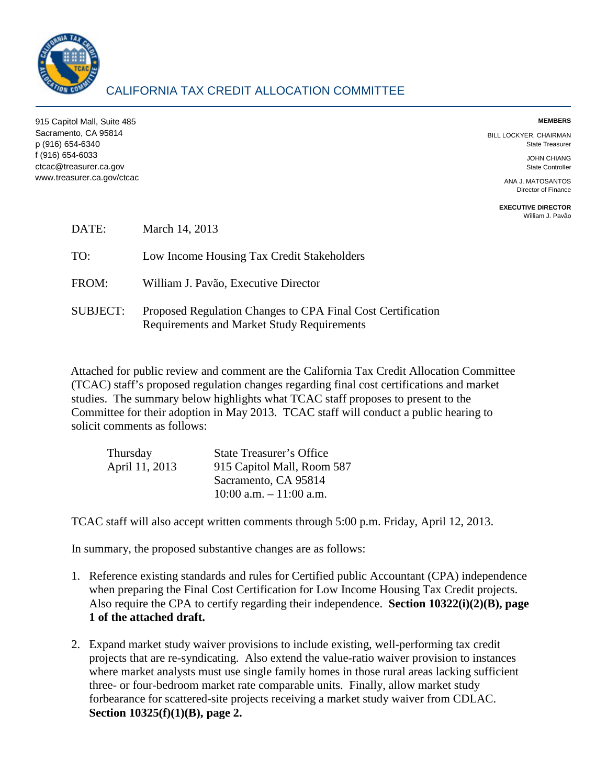

# CALIFORNIA TAX CREDIT ALLOCATION COMMITTEE

915 Capitol Mall, Suite 485 **MEMBERS**  Sacramento, CA 95814 BILL LOCKYER, CHAIRMAN p (916) 654-6340 State Treasurer f (916) 654-6033 JOHN CHIANG ctcac@treasurer.ca.gov State Controller www.treasurer.ca.gov/ctcac ANA J. MATOSANTOS

Director of Finance

**EXECUTIVE DIRECTOR**  [William J. Pavão](mailto:wpavao@treasurer.ca.gov) 

| DATE:           | March 14, 2013                                                                                            |
|-----------------|-----------------------------------------------------------------------------------------------------------|
| TO:             | Low Income Housing Tax Credit Stakeholders                                                                |
| FROM:           | William J. Pavão, Executive Director                                                                      |
| <b>SUBJECT:</b> | Proposed Regulation Changes to CPA Final Cost Certification<br>Requirements and Market Study Requirements |

Attached for public review and comment are the California Tax Credit Allocation Committee (TCAC) staff's proposed regulation changes regarding final cost certifications and market studies. The summary below highlights what TCAC staff proposes to present to the Committee for their adoption in May 2013. TCAC staff will conduct a public hearing to solicit comments as follows:

| Thursday       | <b>State Treasurer's Office</b> |
|----------------|---------------------------------|
| April 11, 2013 | 915 Capitol Mall, Room 587      |
|                | Sacramento, CA 95814            |
|                | $10:00$ a.m. $-11:00$ a.m.      |

TCAC staff will also accept written comments through 5:00 p.m. Friday, April 12, 2013.

In summary, the proposed substantive changes are as follows:

- 1. Reference existing standards and rules for Certified public Accountant (CPA) independence when preparing the Final Cost Certification for Low Income Housing Tax Credit projects. Also require the CPA to certify regarding their independence. **Section 10322(i)(2)(B), page 1 of the attached draft.**
- forbearance for scattered-site projects receiving a market study waiver from CDLAC. 2. Expand market study waiver provisions to include existing, well-performing tax credit projects that are re-syndicating. Also extend the value-ratio waiver provision to instances where market analysts must use single family homes in those rural areas lacking sufficient three- or four-bedroom market rate comparable units. Finally, allow market study **Section 10325(f)(1)(B), page 2.**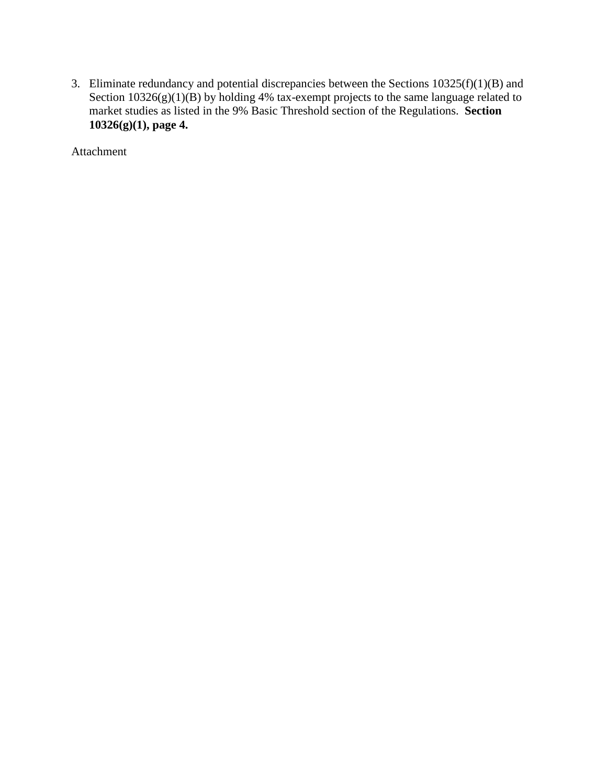3. Eliminate redundancy and potential discrepancies between the Sections  $10325(f)(1)(B)$  and Section  $10326(g)(1)(B)$  by holding 4% tax-exempt projects to the same language related to market studies as listed in the 9% Basic Threshold section of the Regulations. **Section 10326(g)(1), page 4.** 

Attachment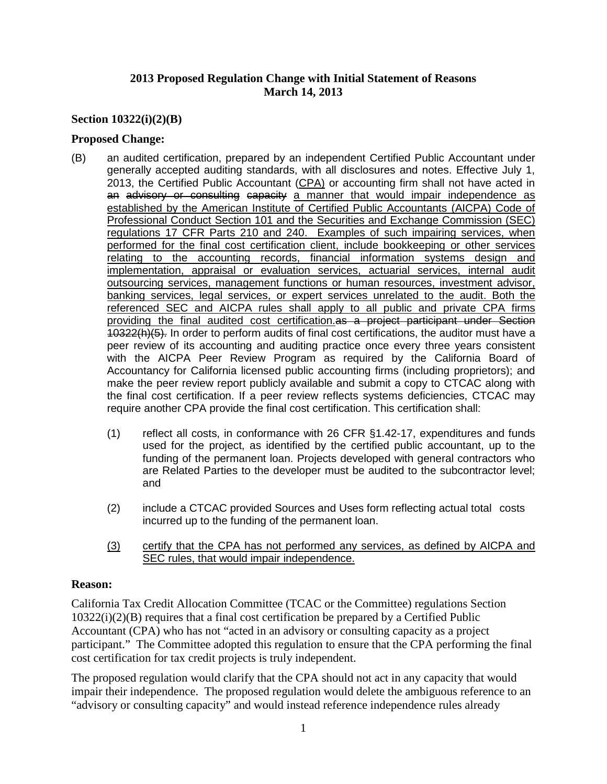# **2013 Proposed Regulation Change with Initial Statement of Reasons March 14, 2013**

## **Section 10322(i)(2)(B)**

### **Proposed Change:**

- (B) an audited certification, prepared by an independent Certified Public Accountant under generally accepted auditing standards, with all disclosures and notes. Effective July 1, 2013, the Certified Public Accountant (CPA) or accounting firm shall not have acted in an advisory or consulting capacity a manner that would impair independence as established by the American Institute of Certified Public Accountants (AICPA) Code of performed for the final cost certification client, include bookkeeping or other services relating to the accounting records, financial information systems design and outsourcing services, management functions or human resources, investment advisor, providing the final audited cost certification.as a project participant under Section Accountancy for California licensed public accounting firms (including proprietors); and Professional Conduct Section 101 and the Securities and Exchange Commission (SEC) regulations 17 CFR Parts 210 and 240. Examples of such impairing services, when implementation, appraisal or evaluation services, actuarial services, internal audit banking services, legal services, or expert services unrelated to the audit. Both the referenced SEC and AICPA rules shall apply to all public and private CPA firms 10322(h)(5). In order to perform audits of final cost certifications, the auditor must have a peer review of its accounting and auditing practice once every three years consistent with the AICPA Peer Review Program as required by the California Board of make the peer review report publicly available and submit a copy to CTCAC along with the final cost certification. If a peer review reflects systems deficiencies, CTCAC may require another CPA provide the final cost certification. This certification shall:
	- (1) reflect all costs, in conformance with 26 CFR  $\S1.42$ -17, expenditures and funds used for the project, as identified by the certified public accountant, up to the funding of the permanent loan. Projects developed with general contractors who are Related Parties to the developer must be audited to the subcontractor level; and
	- (2) include a CTCAC provided Sources and Uses form reflecting actual total costs incurred up to the funding of the permanent loan.
	- (3) certify that the CPA has not performed any services, as defined by AICPA and SEC rules, that would impair independence.

### **Reason:**

 10322(i)(2)(B) requires that a final cost certification be prepared by a Certified Public Accountant (CPA) who has not "acted in an advisory or consulting capacity as a project participant." The Committee adopted this regulation to ensure that the CPA performing the final California Tax Credit Allocation Committee (TCAC or the Committee) regulations Section cost certification for tax credit projects is truly independent.

The proposed regulation would clarify that the CPA should not act in any capacity that would impair their independence. The proposed regulation would delete the ambiguous reference to an "advisory or consulting capacity" and would instead reference independence rules already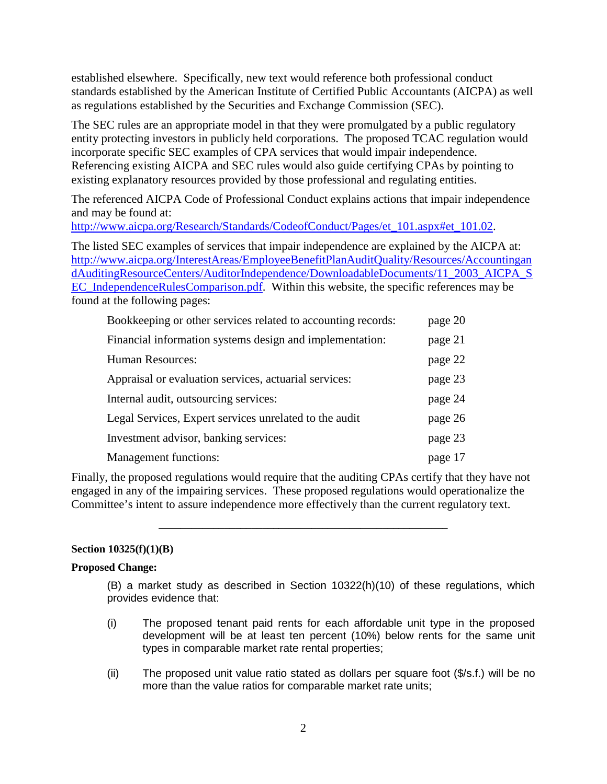established elsewhere. Specifically, new text would reference both professional conduct standards established by the American Institute of Certified Public Accountants (AICPA) as well as regulations established by the Securities and Exchange Commission (SEC).

incorporate specific SEC examples of CPA services that would impair independence. The SEC rules are an appropriate model in that they were promulgated by a public regulatory entity protecting investors in publicly held corporations. The proposed TCAC regulation would Referencing existing AICPA and SEC rules would also guide certifying CPAs by pointing to existing explanatory resources provided by those professional and regulating entities.

 The referenced AICPA Code of Professional Conduct explains actions that impair independence and may be found at:

[http://www.aicpa.org/Research/Standards/CodeofConduct/Pages/et\\_101.aspx#et\\_101.02.](http://www.aicpa.org/Research/Standards/CodeofConduct/Pages/et_101.aspx#et_101.02)

The listed SEC examples of services that impair independence are explained by the AICPA at: [http://www.aicpa.org/InterestAreas/EmployeeBenefitPlanAuditQuality/Resources/Accountingan](http://www.aicpa.org/InterestAreas/EmployeeBenefitPlanAuditQuality/Resources/AccountingandAuditingResourceCenters/AuditorIndependence/DownloadableDocuments/11_2003_AICPA_SEC_IndependenceRulesComparison.pdf)  [dAuditingResourceCenters/AuditorIndependence/DownloadableDocuments/11\\_2003\\_AICPA\\_S](http://www.aicpa.org/InterestAreas/EmployeeBenefitPlanAuditQuality/Resources/AccountingandAuditingResourceCenters/AuditorIndependence/DownloadableDocuments/11_2003_AICPA_SEC_IndependenceRulesComparison.pdf)  [EC\\_IndependenceRulesComparison.pdf.](http://www.aicpa.org/InterestAreas/EmployeeBenefitPlanAuditQuality/Resources/AccountingandAuditingResourceCenters/AuditorIndependence/DownloadableDocuments/11_2003_AICPA_SEC_IndependenceRulesComparison.pdf) Within this website, the specific references may be found at the following pages:

| Bookkeeping or other services related to accounting records: | page 20 |
|--------------------------------------------------------------|---------|
| Financial information systems design and implementation:     | page 21 |
| <b>Human Resources:</b>                                      | page 22 |
| Appraisal or evaluation services, actuarial services:        | page 23 |
| Internal audit, outsourcing services:                        | page 24 |
| Legal Services, Expert services unrelated to the audit       | page 26 |
| Investment advisor, banking services:                        | page 23 |
| <b>Management functions:</b>                                 | page 17 |

Finally, the proposed regulations would require that the auditing CPAs certify that they have not engaged in any of the impairing services. These proposed regulations would operationalize the Committee's intent to assure independence more effectively than the current regulatory text.

**\_\_\_\_\_\_\_\_\_\_\_\_\_\_\_\_\_\_\_\_\_\_\_\_\_\_\_\_\_\_\_\_\_\_\_\_\_\_\_\_\_\_\_\_\_\_\_\_\_\_\_\_\_** 

### **Section 10325(f)(1)(B)**

### **Proposed Change:**

 (B) a market study as described in Section 10322(h)(10) of these regulations, which provides evidence that:

- (i) The proposed tenant paid rents for each affordable unit type in the proposed development will be at least ten percent (10%) below rents for the same unit types in comparable market rate rental properties;
- more than the value ratios for comparable market rate units; (ii) The proposed unit value ratio stated as dollars per square foot  $(\frac{1}{3}, \frac{1}{5})$  will be no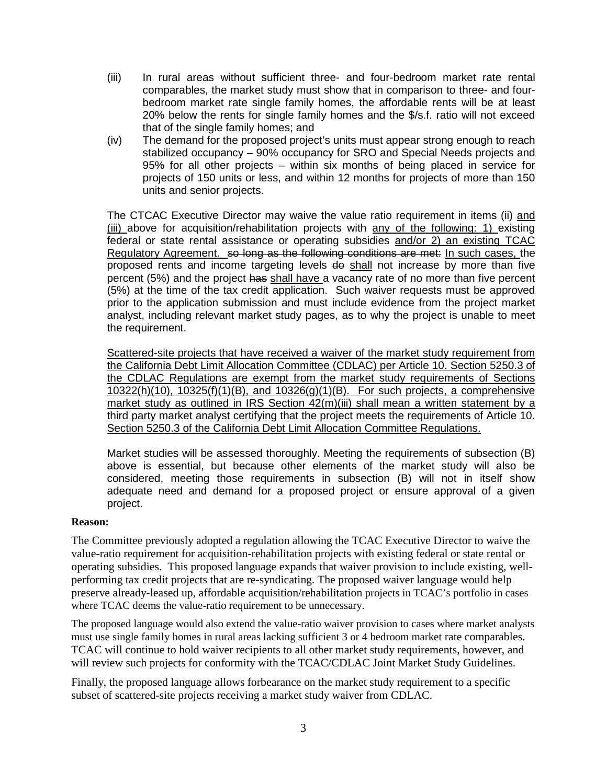- (iii) In rural areas without sufficient three- and four-bedroom market rate rental comparables, the market study must show that in comparison to three- and four- bedroom market rate single family homes, the affordable rents will be at least 20% below the rents for single family homes and the \$/s.f. ratio will not exceed that of the single family homes; and
- stabilized occupancy 90% occupancy for SRO and Special Needs projects and (iv) The demand for the proposed project's units must appear strong enough to reach 95% for all other projects – within six months of being placed in service for projects of 150 units or less, and within 12 months for projects of more than 150 units and senior projects.

The CTCAC Executive Director may waive the value ratio requirement in items (ii) and federal or state rental assistance or operating subsidies **and/or 2) an existing TCAC**  Regulatory Agreement. so long as the following conditions are met: In such cases, the proposed rents and income targeting levels <del>do</del> shall not increase by more than five percent (5%) and the project <del>has shall have a</del> vacancy rate of no more than five percent (5%) at the time of the tax credit application. Such waiver requests must be approved prior to the application submission and must include evidence from the project market (iii) above for acquisition/rehabilitation projects with any of the following: 1) existing analyst, including relevant market study pages, as to why the project is unable to meet the requirement.

 Scattered-site projects that have received a waiver of the market study requirement from the California Debt Limit Allocation Committee (CDLAC) per Article 10. Section 5250.3 of the CDLAC Regulations are exempt from the market study requirements of Sections  $10322(h)(10)$ ,  $10325(f)(1)(B)$ , and  $10326(g)(1)(B)$ . For such projects, a comprehensive market study as outlined in IRS Section 42(m)(iii) shall mean a written statement by a third party market analyst certifying that the project meets the requirements of Article 10. Section 5250.3 of the California Debt Limit Allocation Committee Regulations.

 above is essential, but because other elements of the market study will also be considered, meeting those requirements in subsection (B) will not in itself show adequate need and demand for a proposed project or ensure approval of a given Market studies will be assessed thoroughly. Meeting the requirements of subsection (B) project.

### **Reason:**

The Committee previously adopted a regulation allowing the TCAC Executive Director to waive the value-ratio requirement for acquisition-rehabilitation projects with existing federal or state rental or operating subsidies. This proposed language expands that waiver provision to include existing, wellperforming tax credit projects that are re-syndicating. The proposed waiver language would help preserve already-leased up, affordable acquisition/rehabilitation projects in TCAC's portfolio in cases where TCAC deems the value-ratio requirement to be unnecessary.

 TCAC will continue to hold waiver recipients to all other market study requirements, however, and The proposed language would also extend the value-ratio waiver provision to cases where market analysts must use single family homes in rural areas lacking sufficient 3 or 4 bedroom market rate comparables. will review such projects for conformity with the TCAC/CDLAC Joint Market Study Guidelines.

 Finally, the proposed language allows forbearance on the market study requirement to a specific subset of scattered-site projects receiving a market study waiver from CDLAC.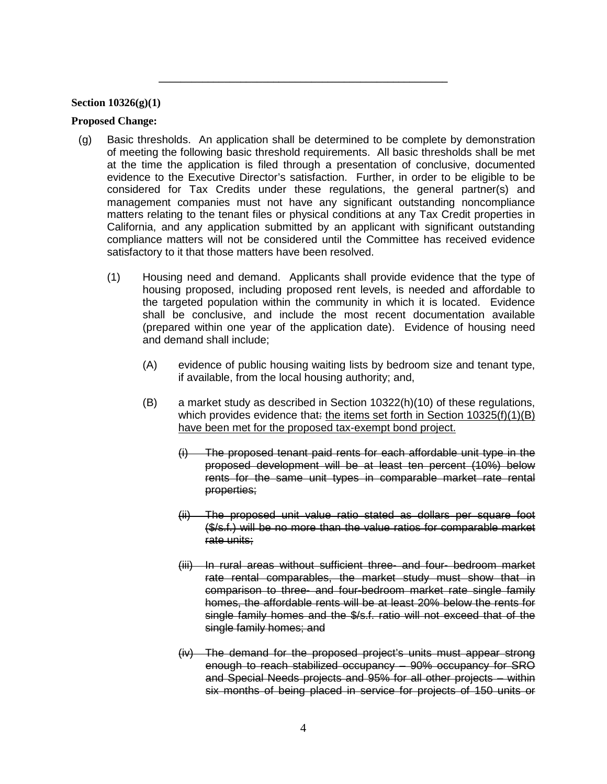#### **Section 10326(g)(1)**

#### **Proposed Change:**

 considered for Tax Credits under these regulations, the general partner(s) and management companies must not have any significant outstanding noncompliance (g) Basic thresholds. An application shall be determined to be complete by demonstration of meeting the following basic threshold requirements. All basic thresholds shall be met at the time the application is filed through a presentation of conclusive, documented evidence to the Executive Director's satisfaction. Further, in order to be eligible to be matters relating to the tenant files or physical conditions at any Tax Credit properties in California, and any application submitted by an applicant with significant outstanding compliance matters will not be considered until the Committee has received evidence satisfactory to it that those matters have been resolved.

**\_\_\_\_\_\_\_\_\_\_\_\_\_\_\_\_\_\_\_\_\_\_\_\_\_\_\_\_\_\_\_\_\_\_\_\_\_\_\_\_\_\_\_\_\_\_\_\_\_\_\_\_\_** 

- (1) Housing need and demand. Applicants shall provide evidence that the type of housing proposed, including proposed rent levels, is needed and affordable to the targeted population within the community in which it is located. Evidence shall be conclusive, and include the most recent documentation available (prepared within one year of the application date). Evidence of housing need and demand shall include;
	- (A) evidence of public housing waiting lists by bedroom size and tenant type, if available, from the local housing authority; and,
	- (B) a market study as described in Section 10322(h)(10) of these regulations, which provides evidence that<del>:</del> <u>the items set forth in Section 10325(f)(1)(B)</u> have been met for the proposed tax-exempt bond project.
		- proposed development will be at least ten percent (10%) below  $(i)$  The proposed tenant paid rents for each affordable unit type in the rents for the same unit types in comparable market rate rental properties;
		- (ii) The proposed unit value ratio stated as dollars per square foot (\$/s.f.) will be no more than the value ratios for comparable market rate units;
		- (iii) In rural areas without sufficient three- and four- bedroom market homes, the affordable rents will be at least 20% below the rents for rate rental comparables, the market study must show that in comparison to three- and four-bedroom market rate single family single family homes and the \$/s.f. ratio will not exceed that of the single family homes; and
		- and Special Needs projects and 95% for all other projects within (iv) The demand for the proposed project's units must appear strong enough to reach stabilized occupancy – 90% occupancy for SRO six months of being placed in service for projects of 150 units or